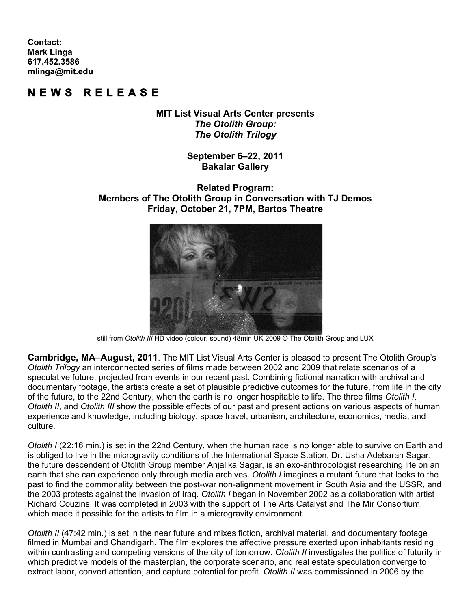**Contact: Mark Linga [617.452.3586](tel:6174523586) [mlinga@mit.edu](mailto:mlinga@mit.edu)**

## **NEWS REL EASE**

**MIT List Visual Arts Center presents** *The Otolith Group: The Otolith Trilogy*

> **September 6–22, 2011 Bakalar Gallery**

## **Related Program: Members of The Otolith Group in Conversation with TJ Demos Friday, October 21, 7PM, Bartos Theatre**



still from Otolith III HD video (colour, sound) 48min UK 2009 © The Otolith Group and LUX

**Cambridge, MA–August, 2011**. The MIT List Visual Arts Center is pleased to present The Otolith Group's *Otolith Trilogy* an interconnected series of films made between 2002 and 2009 that relate scenarios of a speculative future, projected from events in our recent past. Combining fictional narration with archival and documentary footage, the artists create a set of plausible predictive outcomes for the future, from life in the city of the future, to the 22nd Century, when the earth is no longer hospitable to life. The three films *Otolith I*, *Otolith II*, and *Otolith III* show the possible effects of our past and present actions on various aspects of human experience and knowledge, including biology, space travel, urbanism, architecture, economics, media, and culture.

*Otolith I* (22:16 min.) is set in the 22nd Century, when the human race is no longer able to survive on Earth and is obliged to live in the microgravity conditions of the International Space Station. Dr. Usha Adebaran Sagar, the future descendent of Otolith Group member Anjalika Sagar, is an exo-anthropologist researching life on an earth that she can experience only through media archives. *Otolith I* imagines a mutant future that looks to the past to find the commonality between the post-war non-alignment movement in South Asia and the USSR, and the 2003 protests against the invasion of Iraq. *Otolith I* began in November 2002 as a collaboration with artist Richard Couzins. It was completed in 2003 with the support of The Arts Catalyst and The Mir Consortium, which made it possible for the artists to film in a microgravity environment.

*Otolith II* (47:42 min.) is set in the near future and mixes fiction, archival material, and documentary footage filmed in Mumbai and Chandigarh. The film explores the affective pressure exerted upon inhabitants residing within contrasting and competing versions of the city of tomorrow. *Otolith II* investigates the politics of futurity in which predictive models of the masterplan, the corporate scenario, and real estate speculation converge to extract labor, convert attention, and capture potential for profit. *Otolith II* was commissioned in 2006 by the